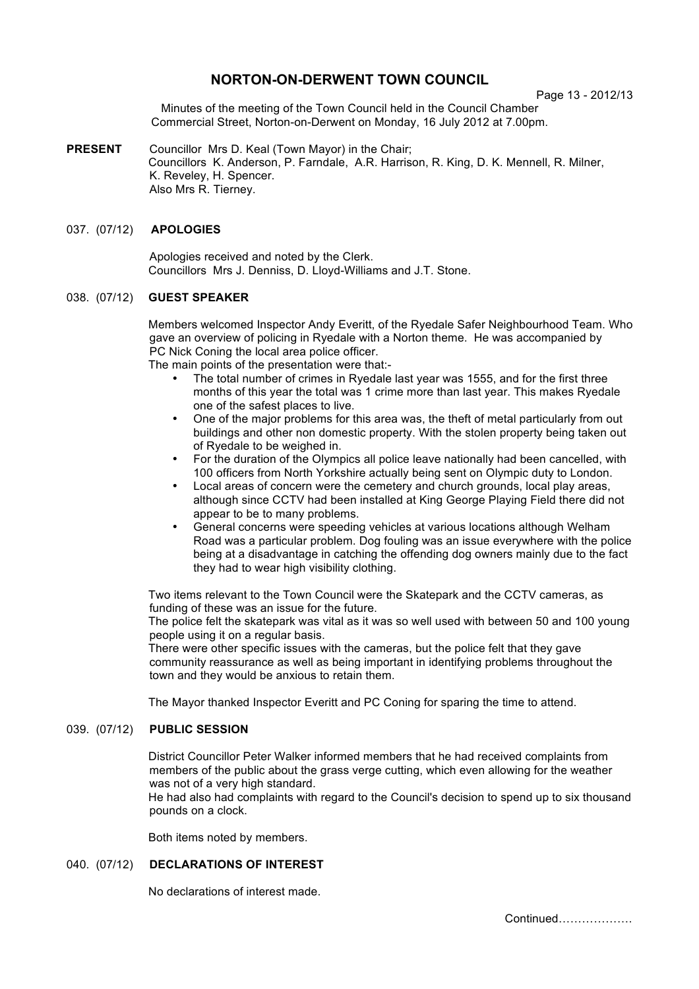# **NORTON-ON-DERWENT TOWN COUNCIL**

Page 13 - 2012/13

Minutes of the meeting of the Town Council held in the Council Chamber Commercial Street, Norton-on-Derwent on Monday, 16 July 2012 at 7.00pm.

**PRESENT** Councillor Mrs D. Keal (Town Mayor) in the Chair; Councillors K. Anderson, P. Farndale, A.R. Harrison, R. King, D. K. Mennell, R. Milner, K. Reveley, H. Spencer. Also Mrs R. Tierney.

### 037. (07/12) **APOLOGIES**

 Apologies received and noted by the Clerk. Councillors Mrs J. Denniss, D. Lloyd-Williams and J.T. Stone.

#### 038. (07/12) **GUEST SPEAKER**

Members welcomed Inspector Andy Everitt, of the Ryedale Safer Neighbourhood Team. Who gave an overview of policing in Ryedale with a Norton theme. He was accompanied by PC Nick Coning the local area police officer.

The main points of the presentation were that:-

- The total number of crimes in Ryedale last year was 1555, and for the first three months of this year the total was 1 crime more than last year. This makes Ryedale one of the safest places to live.
- One of the major problems for this area was, the theft of metal particularly from out buildings and other non domestic property. With the stolen property being taken out of Ryedale to be weighed in.
- For the duration of the Olympics all police leave nationally had been cancelled, with 100 officers from North Yorkshire actually being sent on Olympic duty to London.
- Local areas of concern were the cemetery and church grounds, local play areas, although since CCTV had been installed at King George Playing Field there did not appear to be to many problems.
- General concerns were speeding vehicles at various locations although Welham Road was a particular problem. Dog fouling was an issue everywhere with the police being at a disadvantage in catching the offending dog owners mainly due to the fact they had to wear high visibility clothing.

Two items relevant to the Town Council were the Skatepark and the CCTV cameras, as funding of these was an issue for the future.

The police felt the skatepark was vital as it was so well used with between 50 and 100 young people using it on a regular basis.

There were other specific issues with the cameras, but the police felt that they gave community reassurance as well as being important in identifying problems throughout the town and they would be anxious to retain them.

The Mayor thanked Inspector Everitt and PC Coning for sparing the time to attend.

## 039. (07/12) **PUBLIC SESSION**

District Councillor Peter Walker informed members that he had received complaints from members of the public about the grass verge cutting, which even allowing for the weather was not of a very high standard.

He had also had complaints with regard to the Council's decision to spend up to six thousand pounds on a clock.

Both items noted by members.

# 040. (07/12) **DECLARATIONS OF INTEREST**

No declarations of interest made.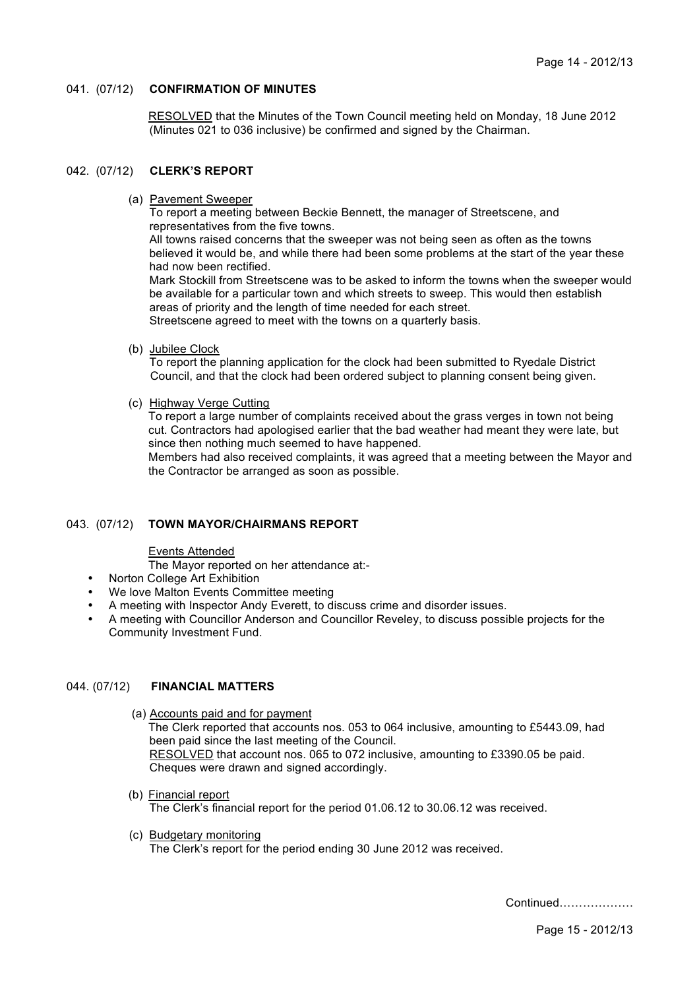### 041. (07/12) **CONFIRMATION OF MINUTES**

 RESOLVED that the Minutes of the Town Council meeting held on Monday, 18 June 2012 (Minutes 021 to 036 inclusive) be confirmed and signed by the Chairman.

#### 042. (07/12) **CLERK'S REPORT**

(a) Pavement Sweeper

To report a meeting between Beckie Bennett, the manager of Streetscene, and representatives from the five towns.

All towns raised concerns that the sweeper was not being seen as often as the towns believed it would be, and while there had been some problems at the start of the year these had now been rectified.

Mark Stockill from Streetscene was to be asked to inform the towns when the sweeper would be available for a particular town and which streets to sweep. This would then establish areas of priority and the length of time needed for each street. Streetscene agreed to meet with the towns on a quarterly basis.

(b) Jubilee Clock

To report the planning application for the clock had been submitted to Ryedale District Council, and that the clock had been ordered subject to planning consent being given.

(c) Highway Verge Cutting

To report a large number of complaints received about the grass verges in town not being cut. Contractors had apologised earlier that the bad weather had meant they were late, but since then nothing much seemed to have happened.

Members had also received complaints, it was agreed that a meeting between the Mayor and the Contractor be arranged as soon as possible.

#### 043. (07/12) **TOWN MAYOR/CHAIRMANS REPORT**

#### Events Attended

The Mayor reported on her attendance at:-

- Norton College Art Exhibition
- We love Malton Events Committee meeting
- A meeting with Inspector Andy Everett, to discuss crime and disorder issues.
- A meeting with Councillor Anderson and Councillor Reveley, to discuss possible projects for the Community Investment Fund.

## 044. (07/12) **FINANCIAL MATTERS**

- (a) Accounts paid and for payment The Clerk reported that accounts nos. 053 to 064 inclusive, amounting to £5443.09, had been paid since the last meeting of the Council. RESOLVED that account nos. 065 to 072 inclusive, amounting to £3390.05 be paid. Cheques were drawn and signed accordingly.
- (b) Financial report The Clerk's financial report for the period 01.06.12 to 30.06.12 was received.
- (c) Budgetary monitoring The Clerk's report for the period ending 30 June 2012 was received.

Continued……………….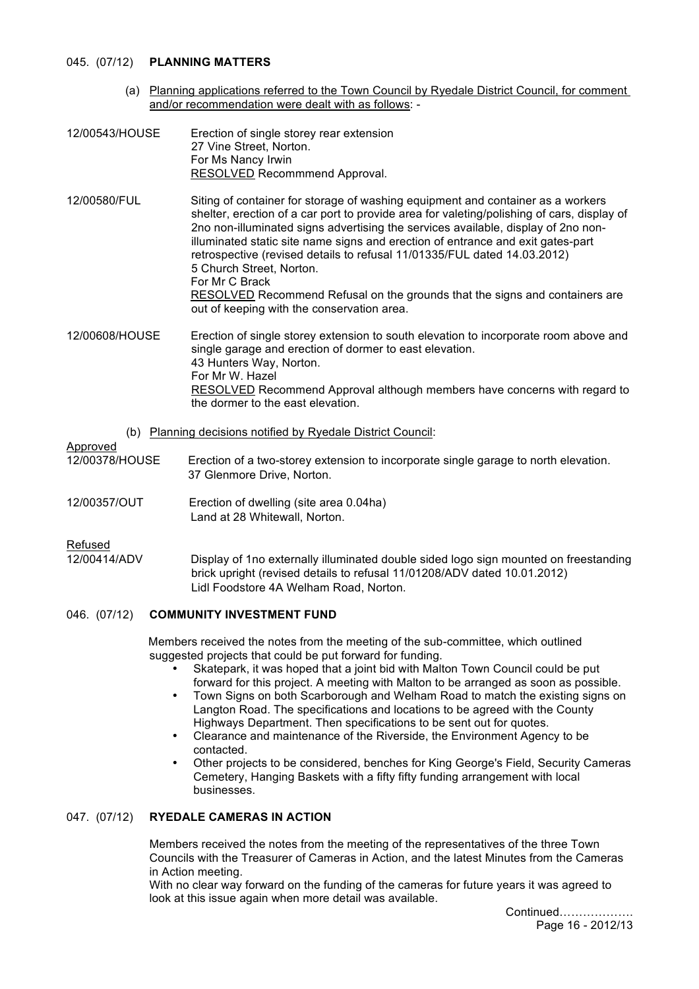### 045. (07/12) **PLANNING MATTERS**

- (a) Planning applications referred to the Town Council by Ryedale District Council, for comment and/or recommendation were dealt with as follows: -
- 12/00543/HOUSE Erection of single storey rear extension 27 Vine Street, Norton. For Ms Nancy Irwin RESOLVED Recommmend Approval.
- 12/00580/FUL Siting of container for storage of washing equipment and container as a workers shelter, erection of a car port to provide area for valeting/polishing of cars, display of 2no non-illuminated signs advertising the services available, display of 2no nonilluminated static site name signs and erection of entrance and exit gates-part retrospective (revised details to refusal 11/01335/FUL dated 14.03.2012) 5 Church Street, Norton. For Mr C Brack RESOLVED Recommend Refusal on the grounds that the signs and containers are out of keeping with the conservation area.
- 12/00608/HOUSE Erection of single storey extension to south elevation to incorporate room above and single garage and erection of dormer to east elevation. 43 Hunters Way, Norton. For Mr W. Hazel RESOLVED Recommend Approval although members have concerns with regard to the dormer to the east elevation.
	- (b) Planning decisions notified by Ryedale District Council:

## Approved

- 12/00378/HOUSE Erection of a two-storey extension to incorporate single garage to north elevation. 37 Glenmore Drive, Norton.
- 12/00357/OUT Erection of dwelling (site area 0.04ha) Land at 28 Whitewall, Norton.

#### Refused

12/00414/ADV Display of 1no externally illuminated double sided logo sign mounted on freestanding brick upright (revised details to refusal 11/01208/ADV dated 10.01.2012) Lidl Foodstore 4A Welham Road, Norton.

## 046. (07/12) **COMMUNITY INVESTMENT FUND**

Members received the notes from the meeting of the sub-committee, which outlined suggested projects that could be put forward for funding.

- Skatepark, it was hoped that a joint bid with Malton Town Council could be put forward for this project. A meeting with Malton to be arranged as soon as possible.
- Town Signs on both Scarborough and Welham Road to match the existing signs on Langton Road. The specifications and locations to be agreed with the County Highways Department. Then specifications to be sent out for quotes.
- Clearance and maintenance of the Riverside, the Environment Agency to be contacted.
- Other projects to be considered, benches for King George's Field, Security Cameras Cemetery, Hanging Baskets with a fifty fifty funding arrangement with local businesses.

## 047. (07/12) **RYEDALE CAMERAS IN ACTION**

Members received the notes from the meeting of the representatives of the three Town Councils with the Treasurer of Cameras in Action, and the latest Minutes from the Cameras in Action meeting.

With no clear way forward on the funding of the cameras for future years it was agreed to look at this issue again when more detail was available.

 Continued………………. Page 16 - 2012/13